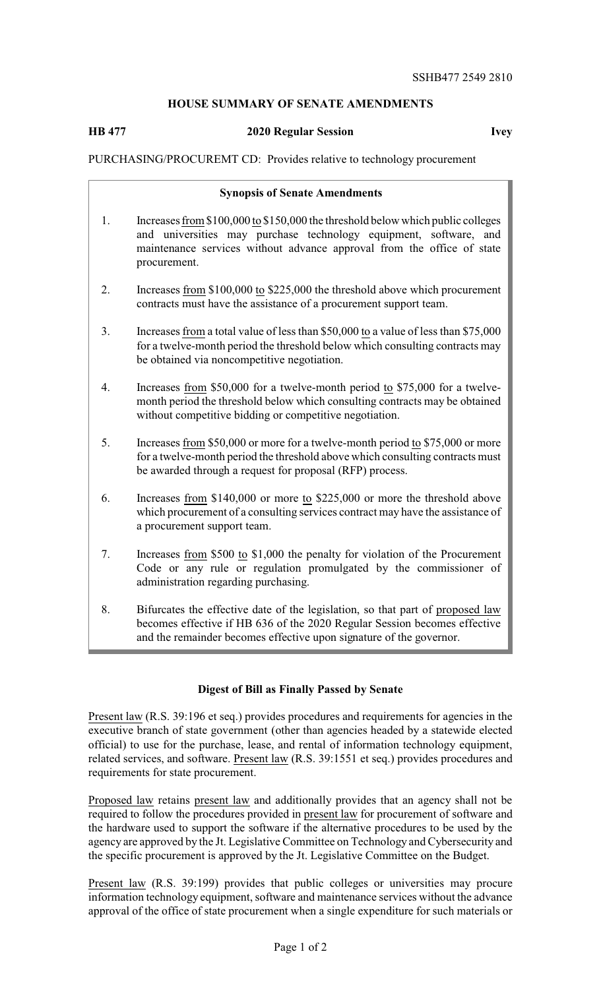# **HOUSE SUMMARY OF SENATE AMENDMENTS**

## **HB 477 2020 Regular Session Ivey**

## PURCHASING/PROCUREMT CD: Provides relative to technology procurement

#### **Synopsis of Senate Amendments**

- 1. Increases from \$100,000 to \$150,000 the threshold below which public colleges and universities may purchase technology equipment, software, and maintenance services without advance approval from the office of state procurement.
- 2. Increases from \$100,000 to \$225,000 the threshold above which procurement contracts must have the assistance of a procurement support team.
- 3. Increases from a total value of less than \$50,000 to a value of less than \$75,000 for a twelve-month period the threshold below which consulting contracts may be obtained via noncompetitive negotiation.
- 4. Increases from \$50,000 for a twelve-month period to \$75,000 for a twelvemonth period the threshold below which consulting contracts may be obtained without competitive bidding or competitive negotiation.
- 5. Increases from \$50,000 or more for a twelve-month period to \$75,000 or more for a twelve-month period the threshold above which consulting contracts must be awarded through a request for proposal (RFP) process.
- 6. Increases from \$140,000 or more to \$225,000 or more the threshold above which procurement of a consulting services contract may have the assistance of a procurement support team.
- 7. Increases from \$500 to \$1,000 the penalty for violation of the Procurement Code or any rule or regulation promulgated by the commissioner of administration regarding purchasing.
- 8. Bifurcates the effective date of the legislation, so that part of proposed law becomes effective if HB 636 of the 2020 Regular Session becomes effective and the remainder becomes effective upon signature of the governor.

#### **Digest of Bill as Finally Passed by Senate**

Present law (R.S. 39:196 et seq.) provides procedures and requirements for agencies in the executive branch of state government (other than agencies headed by a statewide elected official) to use for the purchase, lease, and rental of information technology equipment, related services, and software. Present law (R.S. 39:1551 et seq.) provides procedures and requirements for state procurement.

Proposed law retains present law and additionally provides that an agency shall not be required to follow the procedures provided in present law for procurement of software and the hardware used to support the software if the alternative procedures to be used by the agency are approved by the Jt. Legislative Committee on Technology and Cybersecurity and the specific procurement is approved by the Jt. Legislative Committee on the Budget.

Present law (R.S. 39:199) provides that public colleges or universities may procure information technology equipment, software and maintenance services without the advance approval of the office of state procurement when a single expenditure for such materials or